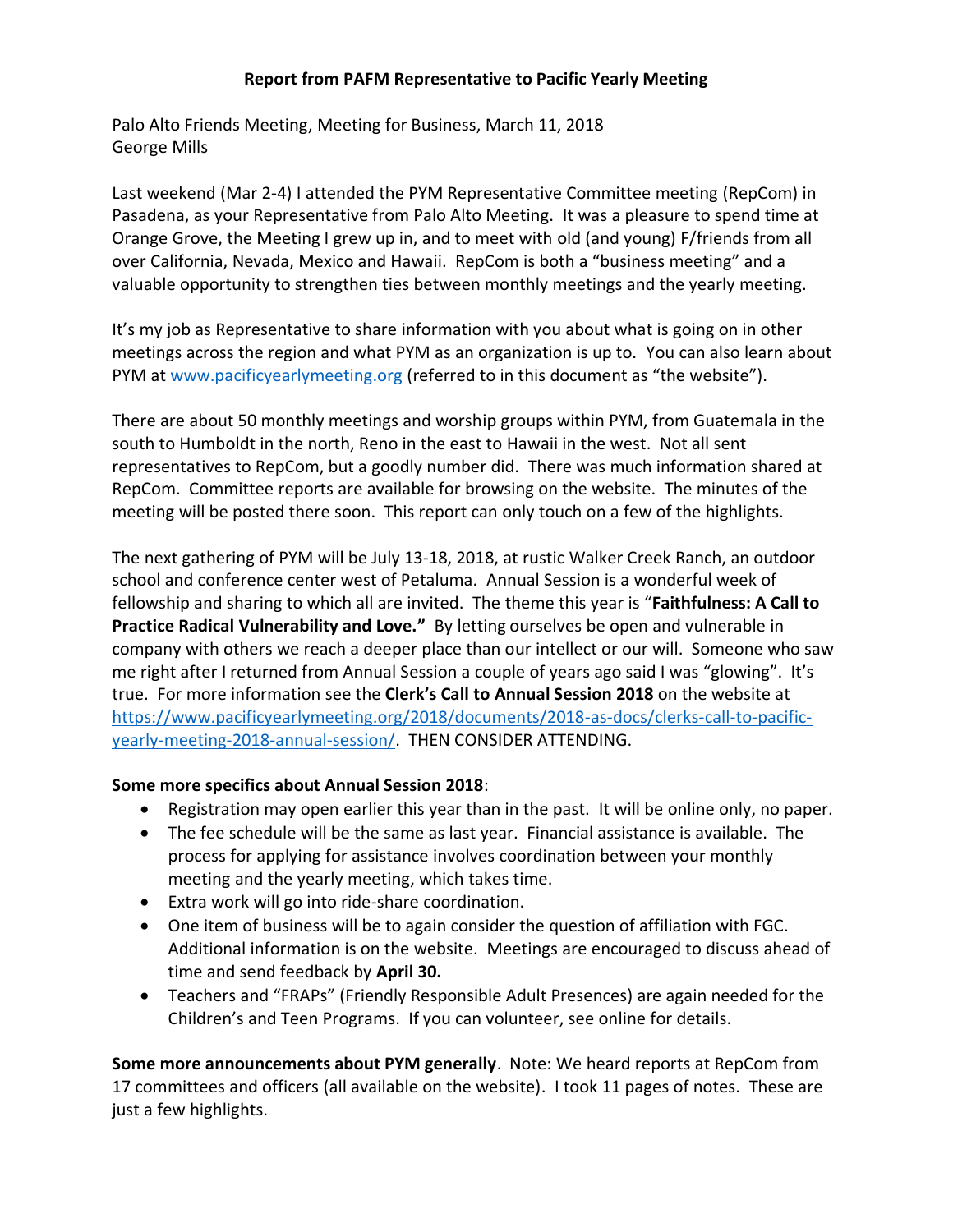## **Report from PAFM Representative to Pacific Yearly Meeting**

Palo Alto Friends Meeting, Meeting for Business, March 11, 2018 George Mills

Last weekend (Mar 2-4) I attended the PYM Representative Committee meeting (RepCom) in Pasadena, as your Representative from Palo Alto Meeting. It was a pleasure to spend time at Orange Grove, the Meeting I grew up in, and to meet with old (and young) F/friends from all over California, Nevada, Mexico and Hawaii. RepCom is both a "business meeting" and a valuable opportunity to strengthen ties between monthly meetings and the yearly meeting.

It's my job as Representative to share information with you about what is going on in other meetings across the region and what PYM as an organization is up to. You can also learn about PYM at [www.pacificyearlymeeting.org](http://www.pacificyearlymeeting.org/) (referred to in this document as "the website").

There are about 50 monthly meetings and worship groups within PYM, from Guatemala in the south to Humboldt in the north, Reno in the east to Hawaii in the west. Not all sent representatives to RepCom, but a goodly number did. There was much information shared at RepCom. Committee reports are available for browsing on the website. The minutes of the meeting will be posted there soon. This report can only touch on a few of the highlights.

The next gathering of PYM will be July 13-18, 2018, at rustic Walker Creek Ranch, an outdoor school and conference center west of Petaluma. Annual Session is a wonderful week of fellowship and sharing to which all are invited. The theme this year is "**Faithfulness: A Call to Practice Radical Vulnerability and Love."** By letting ourselves be open and vulnerable in company with others we reach a deeper place than our intellect or our will. Someone who saw me right after I returned from Annual Session a couple of years ago said I was "glowing". It's true. For more information see the **Clerk's Call to Annual Session 2018** on the website at [https://www.pacificyearlymeeting.org/2018/documents/2018-as-docs/clerks-call-to-pacific](https://www.pacificyearlymeeting.org/2018/documents/2018-as-docs/clerks-call-to-pacific-yearly-meeting-2018-annual-session/)[yearly-meeting-2018-annual-session/.](https://www.pacificyearlymeeting.org/2018/documents/2018-as-docs/clerks-call-to-pacific-yearly-meeting-2018-annual-session/) THEN CONSIDER ATTENDING.

## **Some more specifics about Annual Session 2018**:

- Registration may open earlier this year than in the past. It will be online only, no paper.
- The fee schedule will be the same as last year. Financial assistance is available. The process for applying for assistance involves coordination between your monthly meeting and the yearly meeting, which takes time.
- Extra work will go into ride-share coordination.
- One item of business will be to again consider the question of affiliation with FGC. Additional information is on the website. Meetings are encouraged to discuss ahead of time and send feedback by **April 30.**
- Teachers and "FRAPs" (Friendly Responsible Adult Presences) are again needed for the Children's and Teen Programs. If you can volunteer, see online for details.

**Some more announcements about PYM generally**. Note: We heard reports at RepCom from 17 committees and officers (all available on the website). I took 11 pages of notes. These are just a few highlights.